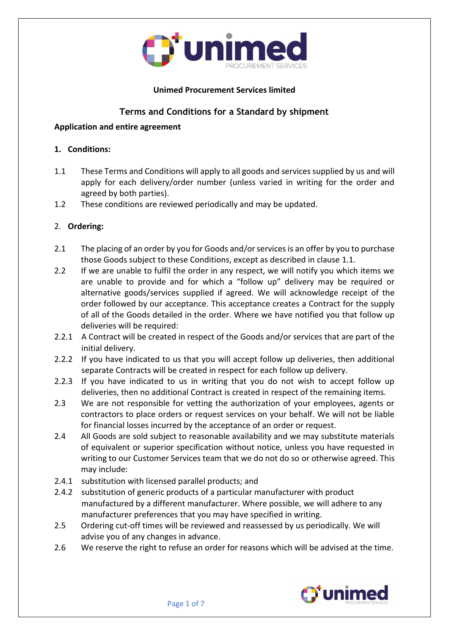

### **Unimed Procurement Services limited**

# **Terms and Conditions for a Standard by shipment**

#### **Application and entire agreement**

#### **1. Conditions:**

- 1.1 These Terms and Conditions will apply to all goods and services supplied by us and will apply for each delivery/order number (unless varied in writing for the order and agreed by both parties).
- 1.2 These conditions are reviewed periodically and may be updated.

#### 2. **Ordering:**

- 2.1 The placing of an order by you for Goods and/or services is an offer by you to purchase those Goods subject to these Conditions, except as described in clause 1.1.
- 2.2 If we are unable to fulfil the order in any respect, we will notify you which items we are unable to provide and for which a "follow up" delivery may be required or alternative goods/services supplied if agreed. We will acknowledge receipt of the order followed by our acceptance. This acceptance creates a Contract for the supply of all of the Goods detailed in the order. Where we have notified you that follow up deliveries will be required:
- 2.2.1 A Contract will be created in respect of the Goods and/or services that are part of the initial delivery.
- 2.2.2 If you have indicated to us that you will accept follow up deliveries, then additional separate Contracts will be created in respect for each follow up delivery.
- 2.2.3 If you have indicated to us in writing that you do not wish to accept follow up deliveries, then no additional Contract is created in respect of the remaining items.
- 2.3 We are not responsible for vetting the authorization of your employees, agents or contractors to place orders or request services on your behalf. We will not be liable for financial losses incurred by the acceptance of an order or request.
- 2.4 All Goods are sold subject to reasonable availability and we may substitute materials of equivalent or superior specification without notice, unless you have requested in writing to our Customer Services team that we do not do so or otherwise agreed. This may include:
- 2.4.1 substitution with licensed parallel products; and
- 2.4.2 substitution of generic products of a particular manufacturer with product manufactured by a different manufacturer. Where possible, we will adhere to any manufacturer preferences that you may have specified in writing.
- 2.5 Ordering cut-off times will be reviewed and reassessed by us periodically. We will advise you of any changes in advance.
- 2.6 We reserve the right to refuse an order for reasons which will be advised at the time.

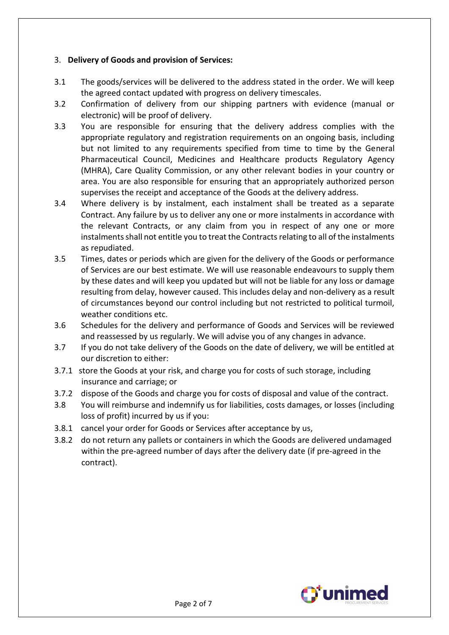### 3. **Delivery of Goods and provision of Services:**

- 3.1 The goods/services will be delivered to the address stated in the order. We will keep the agreed contact updated with progress on delivery timescales.
- 3.2 Confirmation of delivery from our shipping partners with evidence (manual or electronic) will be proof of delivery.
- 3.3 You are responsible for ensuring that the delivery address complies with the appropriate regulatory and registration requirements on an ongoing basis, including but not limited to any requirements specified from time to time by the General Pharmaceutical Council, Medicines and Healthcare products Regulatory Agency (MHRA), Care Quality Commission, or any other relevant bodies in your country or area. You are also responsible for ensuring that an appropriately authorized person supervises the receipt and acceptance of the Goods at the delivery address.
- 3.4 Where delivery is by instalment, each instalment shall be treated as a separate Contract. Any failure by us to deliver any one or more instalments in accordance with the relevant Contracts, or any claim from you in respect of any one or more instalments shall not entitle you to treat the Contracts relating to all of the instalments as repudiated.
- 3.5 Times, dates or periods which are given for the delivery of the Goods or performance of Services are our best estimate. We will use reasonable endeavours to supply them by these dates and will keep you updated but will not be liable for any loss or damage resulting from delay, however caused. This includes delay and non-delivery as a result of circumstances beyond our control including but not restricted to political turmoil, weather conditions etc.
- 3.6 Schedules for the delivery and performance of Goods and Services will be reviewed and reassessed by us regularly. We will advise you of any changes in advance.
- 3.7 If you do not take delivery of the Goods on the date of delivery, we will be entitled at our discretion to either:
- 3.7.1 store the Goods at your risk, and charge you for costs of such storage, including insurance and carriage; or
- 3.7.2 dispose of the Goods and charge you for costs of disposal and value of the contract.
- 3.8 You will reimburse and indemnify us for liabilities, costs damages, or losses (including loss of profit) incurred by us if you:
- 3.8.1 cancel your order for Goods or Services after acceptance by us,
- 3.8.2 do not return any pallets or containers in which the Goods are delivered undamaged within the pre-agreed number of days after the delivery date (if pre-agreed in the contract).

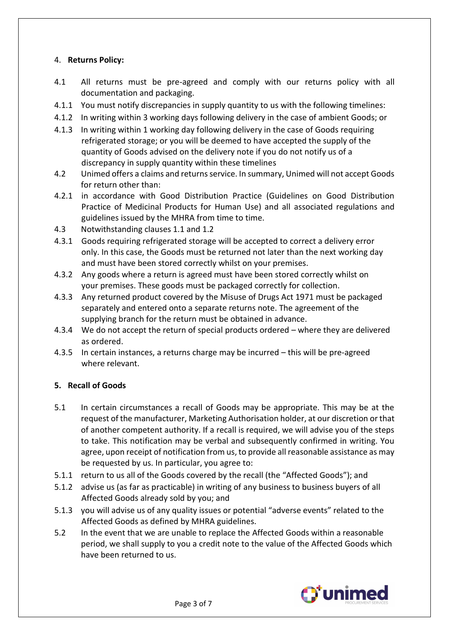### 4. **Returns Policy:**

- 4.1 All returns must be pre-agreed and comply with our returns policy with all documentation and packaging.
- 4.1.1 You must notify discrepancies in supply quantity to us with the following timelines:
- 4.1.2 In writing within 3 working days following delivery in the case of ambient Goods; or
- 4.1.3 In writing within 1 working day following delivery in the case of Goods requiring refrigerated storage; or you will be deemed to have accepted the supply of the quantity of Goods advised on the delivery note if you do not notify us of a discrepancy in supply quantity within these timelines
- 4.2 Unimed offers a claims and returns service. In summary, Unimed will not accept Goods for return other than:
- 4.2.1 in accordance with Good Distribution Practice (Guidelines on Good Distribution Practice of Medicinal Products for Human Use) and all associated regulations and guidelines issued by the MHRA from time to time.
- 4.3 Notwithstanding clauses 1.1 and 1.2
- 4.3.1 Goods requiring refrigerated storage will be accepted to correct a delivery error only. In this case, the Goods must be returned not later than the next working day and must have been stored correctly whilst on your premises.
- 4.3.2 Any goods where a return is agreed must have been stored correctly whilst on your premises. These goods must be packaged correctly for collection.
- 4.3.3 Any returned product covered by the Misuse of Drugs Act 1971 must be packaged separately and entered onto a separate returns note. The agreement of the supplying branch for the return must be obtained in advance.
- 4.3.4 We do not accept the return of special products ordered where they are delivered as ordered.
- 4.3.5 In certain instances, a returns charge may be incurred this will be pre-agreed where relevant.

### **5. Recall of Goods**

- 5.1 In certain circumstances a recall of Goods may be appropriate. This may be at the request of the manufacturer, Marketing Authorisation holder, at our discretion or that of another competent authority. If a recall is required, we will advise you of the steps to take. This notification may be verbal and subsequently confirmed in writing. You agree, upon receipt of notification from us, to provide all reasonable assistance as may be requested by us. In particular, you agree to:
- 5.1.1 return to us all of the Goods covered by the recall (the "Affected Goods"); and
- 5.1.2 advise us (as far as practicable) in writing of any business to business buyers of all Affected Goods already sold by you; and
- 5.1.3 you will advise us of any quality issues or potential "adverse events" related to the Affected Goods as defined by MHRA guidelines.
- 5.2 In the event that we are unable to replace the Affected Goods within a reasonable period, we shall supply to you a credit note to the value of the Affected Goods which have been returned to us.

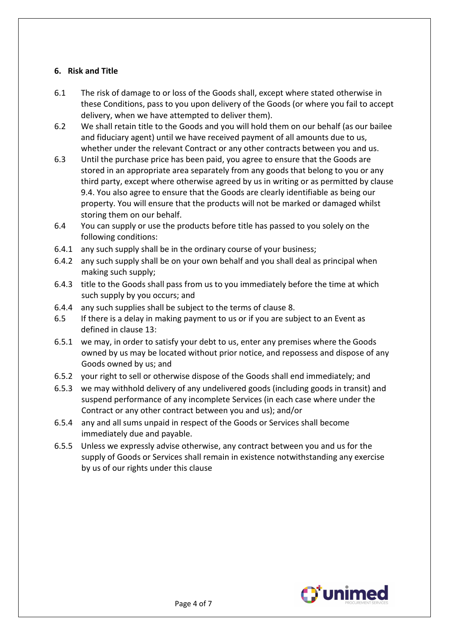### **6. Risk and Title**

- 6.1 The risk of damage to or loss of the Goods shall, except where stated otherwise in these Conditions, pass to you upon delivery of the Goods (or where you fail to accept delivery, when we have attempted to deliver them).
- 6.2 We shall retain title to the Goods and you will hold them on our behalf (as our bailee and fiduciary agent) until we have received payment of all amounts due to us, whether under the relevant Contract or any other contracts between you and us.
- 6.3 Until the purchase price has been paid, you agree to ensure that the Goods are stored in an appropriate area separately from any goods that belong to you or any third party, except where otherwise agreed by us in writing or as permitted by clause 9.4. You also agree to ensure that the Goods are clearly identifiable as being our property. You will ensure that the products will not be marked or damaged whilst storing them on our behalf.
- 6.4 You can supply or use the products before title has passed to you solely on the following conditions:
- 6.4.1 any such supply shall be in the ordinary course of your business;
- 6.4.2 any such supply shall be on your own behalf and you shall deal as principal when making such supply;
- 6.4.3 title to the Goods shall pass from us to you immediately before the time at which such supply by you occurs; and
- 6.4.4 any such supplies shall be subject to the terms of clause 8.
- 6.5 If there is a delay in making payment to us or if you are subject to an Event as defined in clause 13:
- 6.5.1 we may, in order to satisfy your debt to us, enter any premises where the Goods owned by us may be located without prior notice, and repossess and dispose of any Goods owned by us; and
- 6.5.2 your right to sell or otherwise dispose of the Goods shall end immediately; and
- 6.5.3 we may withhold delivery of any undelivered goods (including goods in transit) and suspend performance of any incomplete Services (in each case where under the Contract or any other contract between you and us); and/or
- 6.5.4 any and all sums unpaid in respect of the Goods or Services shall become immediately due and payable.
- 6.5.5 Unless we expressly advise otherwise, any contract between you and us for the supply of Goods or Services shall remain in existence notwithstanding any exercise by us of our rights under this clause

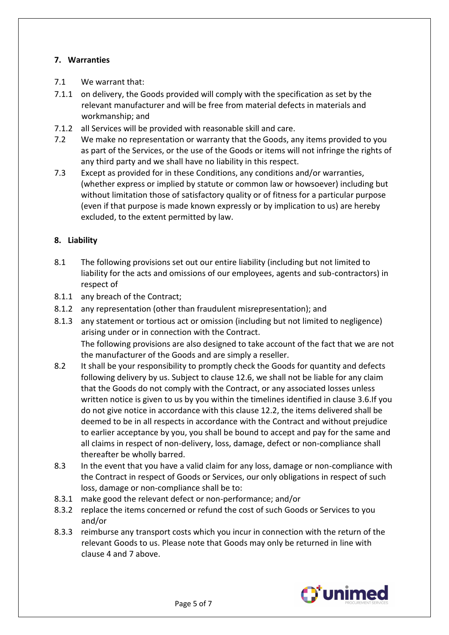## **7. Warranties**

- 7.1 We warrant that:
- 7.1.1 on delivery, the Goods provided will comply with the specification as set by the relevant manufacturer and will be free from material defects in materials and workmanship; and
- 7.1.2 all Services will be provided with reasonable skill and care.
- 7.2 We make no representation or warranty that the Goods, any items provided to you as part of the Services, or the use of the Goods or items will not infringe the rights of any third party and we shall have no liability in this respect.
- 7.3 Except as provided for in these Conditions, any conditions and/or warranties, (whether express or implied by statute or common law or howsoever) including but without limitation those of satisfactory quality or of fitness for a particular purpose (even if that purpose is made known expressly or by implication to us) are hereby excluded, to the extent permitted by law.

## **8. Liability**

- 8.1 The following provisions set out our entire liability (including but not limited to liability for the acts and omissions of our employees, agents and sub-contractors) in respect of
- 8.1.1 any breach of the Contract;
- 8.1.2 any representation (other than fraudulent misrepresentation); and
- 8.1.3 any statement or tortious act or omission (including but not limited to negligence) arising under or in connection with the Contract. The following provisions are also designed to take account of the fact that we are not the manufacturer of the Goods and are simply a reseller.
- 8.2 It shall be your responsibility to promptly check the Goods for quantity and defects following delivery by us. Subject to clause 12.6, we shall not be liable for any claim that the Goods do not comply with the Contract, or any associated losses unless written notice is given to us by you within the timelines identified in clause 3.6.If you do not give notice in accordance with this clause 12.2, the items delivered shall be deemed to be in all respects in accordance with the Contract and without prejudice to earlier acceptance by you, you shall be bound to accept and pay for the same and all claims in respect of non-delivery, loss, damage, defect or non-compliance shall thereafter be wholly barred.
- 8.3 In the event that you have a valid claim for any loss, damage or non-compliance with the Contract in respect of Goods or Services, our only obligations in respect of such loss, damage or non-compliance shall be to:
- 8.3.1 make good the relevant defect or non-performance; and/or
- 8.3.2 replace the items concerned or refund the cost of such Goods or Services to you and/or
- 8.3.3 reimburse any transport costs which you incur in connection with the return of the relevant Goods to us. Please note that Goods may only be returned in line with clause 4 and 7 above.

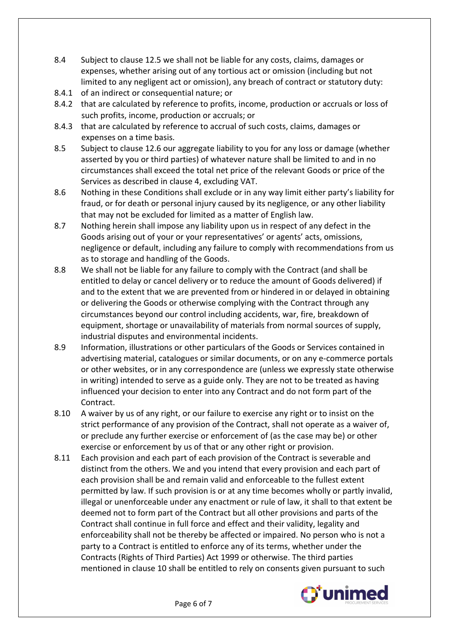- 8.4 Subject to clause 12.5 we shall not be liable for any costs, claims, damages or expenses, whether arising out of any tortious act or omission (including but not limited to any negligent act or omission), any breach of contract or statutory duty:
- 8.4.1 of an indirect or consequential nature; or
- 8.4.2 that are calculated by reference to profits, income, production or accruals or loss of such profits, income, production or accruals; or
- 8.4.3 that are calculated by reference to accrual of such costs, claims, damages or expenses on a time basis.
- 8.5 Subject to clause 12.6 our aggregate liability to you for any loss or damage (whether asserted by you or third parties) of whatever nature shall be limited to and in no circumstances shall exceed the total net price of the relevant Goods or price of the Services as described in clause 4, excluding VAT.
- 8.6 Nothing in these Conditions shall exclude or in any way limit either party's liability for fraud, or for death or personal injury caused by its negligence, or any other liability that may not be excluded for limited as a matter of English law.
- 8.7 Nothing herein shall impose any liability upon us in respect of any defect in the Goods arising out of your or your representatives' or agents' acts, omissions, negligence or default, including any failure to comply with recommendations from us as to storage and handling of the Goods.
- 8.8 We shall not be liable for any failure to comply with the Contract (and shall be entitled to delay or cancel delivery or to reduce the amount of Goods delivered) if and to the extent that we are prevented from or hindered in or delayed in obtaining or delivering the Goods or otherwise complying with the Contract through any circumstances beyond our control including accidents, war, fire, breakdown of equipment, shortage or unavailability of materials from normal sources of supply, industrial disputes and environmental incidents.
- 8.9 Information, illustrations or other particulars of the Goods or Services contained in advertising material, catalogues or similar documents, or on any e-commerce portals or other websites, or in any correspondence are (unless we expressly state otherwise in writing) intended to serve as a guide only. They are not to be treated as having influenced your decision to enter into any Contract and do not form part of the Contract.
- 8.10 A waiver by us of any right, or our failure to exercise any right or to insist on the strict performance of any provision of the Contract, shall not operate as a waiver of, or preclude any further exercise or enforcement of (as the case may be) or other exercise or enforcement by us of that or any other right or provision.
- 8.11 Each provision and each part of each provision of the Contract is severable and distinct from the others. We and you intend that every provision and each part of each provision shall be and remain valid and enforceable to the fullest extent permitted by law. If such provision is or at any time becomes wholly or partly invalid, illegal or unenforceable under any enactment or rule of law, it shall to that extent be deemed not to form part of the Contract but all other provisions and parts of the Contract shall continue in full force and effect and their validity, legality and enforceability shall not be thereby be affected or impaired. No person who is not a party to a Contract is entitled to enforce any of its terms, whether under the Contracts (Rights of Third Parties) Act 1999 or otherwise. The third parties mentioned in clause 10 shall be entitled to rely on consents given pursuant to such